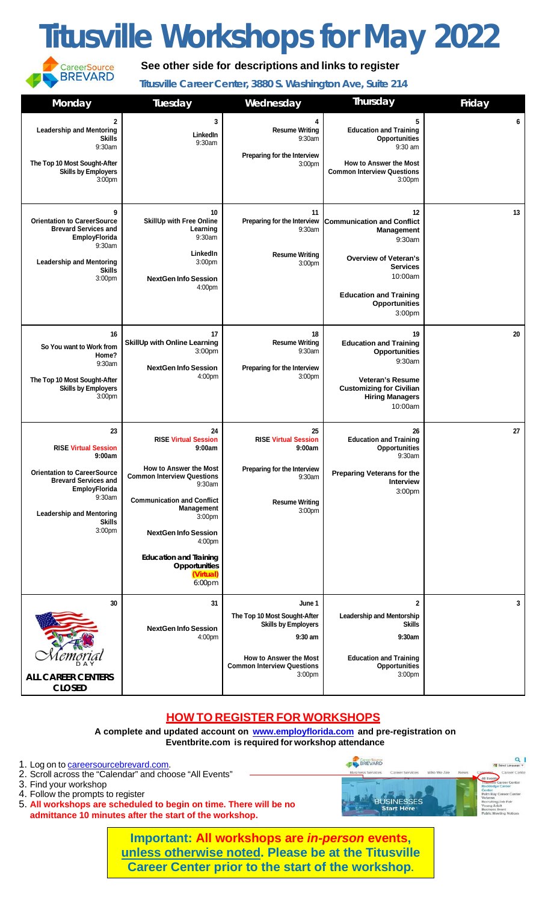## **Titusville Workshops for May 2022**



**See other side for descriptions and links to register**

**Titusville Career Center, 3880 S. Washington Ave, Suite 214**

| Monday                                                                                                                                                                                                    | Tuesday                                                                                                                                                                                                                                                                                                    | Wednesday                                                                                                                                                            | Thursday                                                                                                                                                                                                | Friday |
|-----------------------------------------------------------------------------------------------------------------------------------------------------------------------------------------------------------|------------------------------------------------------------------------------------------------------------------------------------------------------------------------------------------------------------------------------------------------------------------------------------------------------------|----------------------------------------------------------------------------------------------------------------------------------------------------------------------|---------------------------------------------------------------------------------------------------------------------------------------------------------------------------------------------------------|--------|
| 2<br><b>Leadership and Mentoring</b><br><b>Skills</b><br>9:30am<br>The Top 10 Most Sought-After<br><b>Skills by Employers</b><br>3:00pm                                                                   | 3<br>LinkedIn<br>9:30am                                                                                                                                                                                                                                                                                    | 4<br><b>Resume Writing</b><br>9:30am<br>Preparing for the Interview<br>3:00pm                                                                                        | 5<br><b>Education and Training</b><br><b>Opportunities</b><br>$9:30$ am<br><b>How to Answer the Most</b><br><b>Common Interview Questions</b><br>3:00 <sub>pm</sub>                                     | 6      |
| 9<br><b>Orientation to CareerSource</b><br><b>Brevard Services and</b><br><b>EmployFlorida</b><br>9:30am<br><b>Leadership and Mentoring</b><br><b>Skills</b><br>3:00pm                                    | 10<br>SkillUp with Free Online<br>Learning<br>9:30am<br>LinkedIn<br>3:00pm<br><b>NextGen Info Session</b><br>4:00 <sub>pm</sub>                                                                                                                                                                            | 11<br>Preparing for the Interview<br>9:30am<br><b>Resume Writing</b><br>3:00pm                                                                                       | 12<br><b>Communication and Conflict</b><br><b>Management</b><br>9:30am<br><b>Overview of Veteran's</b><br><b>Services</b><br>10:00am<br><b>Education and Training</b><br><b>Opportunities</b><br>3:00pm | 13     |
| 16<br>So You want to Work from<br>Home?<br>9:30am<br>The Top 10 Most Sought-After<br><b>Skills by Employers</b><br>3:00 <sub>pm</sub>                                                                     | 17<br><b>SkillUp with Online Learning</b><br>3:00pm<br><b>NextGen Info Session</b><br>4:00pm                                                                                                                                                                                                               | 18<br><b>Resume Writing</b><br>9:30am<br>Preparing for the Interview<br>3:00pm                                                                                       | 19<br><b>Education and Training</b><br>Opportunities<br>9:30am<br><b>Veteran's Resume</b><br><b>Customizing for Civilian</b><br><b>Hiring Managers</b><br>10:00am                                       | 20     |
| 23<br><b>RISE Virtual Session</b><br>9:00am<br><b>Orientation to CareerSource</b><br><b>Brevard Services and</b><br>EmployFlorida<br>9:30am<br><b>Leadership and Mentoring</b><br><b>Skills</b><br>3:00pm | 24<br><b>RISE Virtual Session</b><br>9:00am<br><b>How to Answer the Most</b><br><b>Common Interview Questions</b><br>9:30am<br><b>Communication and Conflict</b><br>Management<br>3:00pm<br><b>NextGen Info Session</b><br>4:00pm<br><b>Education and Training</b><br>Opportunities<br>(Virtual)<br>6:00pm | 25<br><b>RISE Virtual Session</b><br>9:00am<br>Preparing for the Interview<br>9:30am<br><b>Resume Writing</b><br>3:00pm                                              | 26<br><b>Education and Training</b><br><b>Opportunities</b><br>9:30am<br><b>Preparing Veterans for the</b><br>Interview<br>3:00pm                                                                       | 27     |
| 30<br><b>ALL CAREER CENTERS</b><br><b>CLOSED</b>                                                                                                                                                          | 31<br><b>NextGen Info Session</b><br>4:00pm                                                                                                                                                                                                                                                                | June 1<br>The Top 10 Most Sought-After<br><b>Skills by Employers</b><br>9:30 am<br>How to Answer the Most<br><b>Common Interview Questions</b><br>3:00 <sub>pm</sub> | $\mathbf 2$<br><b>Leadership and Mentorship</b><br><b>Skills</b><br>9:30am<br><b>Education and Training</b><br><b>Opportunities</b><br>3:00pm                                                           | 3      |

## **HOW TO REGISTER FOR WORKSHOPS**

**A complete and updated account on [www.employflorida.com](http://www.employflorida.com/) and pre-registration on Eventbrite.com is required for workshop attendance**

- 1. Log on to [careersourcebrevard.com.](http://www.careersourcebrevard.com/)
- 2. Scroll across the "Calendar" and choose "All Events"
- 3. Find your workshop
- 4. Follow the prompts to register
- 5. **All workshops are scheduled to begin on time. There will be no admittance 10 minutes after the start of the workshop.**



**Important: All workshops are** *in-person* **events, unless otherwise noted. Please be at the Titusville Career Center prior to the start of the workshop.**